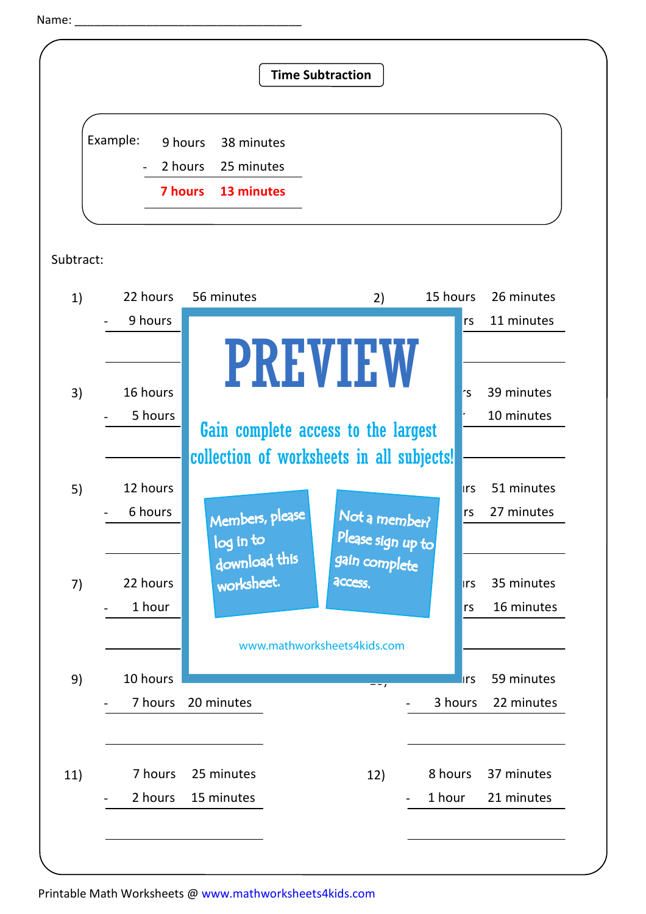```
Name:
```